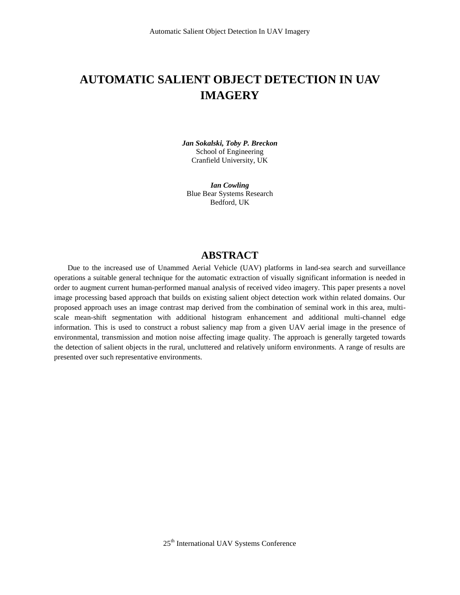# **AUTOMATIC SALIENT OBJECT DETECTION IN UAV IMAGERY**

*Jan Sokalski, Toby P. Breckon* School of Engineering Cranfield University, UK

*Ian Cowling* Blue Bear Systems Research Bedford, UK

#### **ABSTRACT**

Due to the increased use of Unammed Aerial Vehicle (UAV) platforms in land-sea search and surveillance operations a suitable general technique for the automatic extraction of visually significant information is needed in order to augment current human-performed manual analysis of received video imagery. This paper presents a novel image processing based approach that builds on existing salient object detection work within related domains. Our proposed approach uses an image contrast map derived from the combination of seminal work in this area, multiscale mean-shift segmentation with additional histogram enhancement and additional multi-channel edge information. This is used to construct a robust saliency map from a given UAV aerial image in the presence of environmental, transmission and motion noise affecting image quality. The approach is generally targeted towards the detection of salient objects in the rural, uncluttered and relatively uniform environments. A range of results are presented over such representative environments.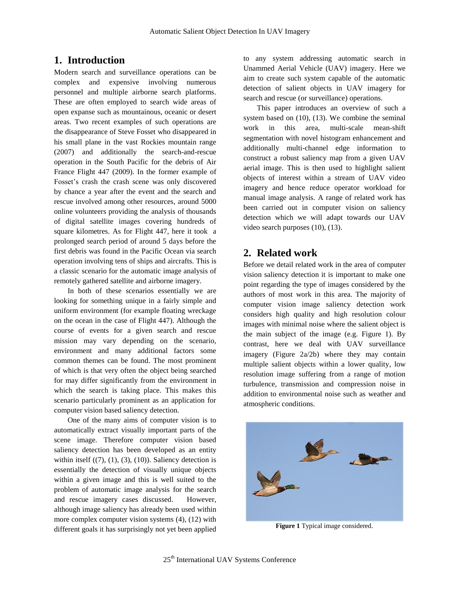## **1. Introduction**

Modern search and surveillance operations can be complex and expensive involving numerous personnel and multiple airborne search platforms. These are often employed to search wide areas of open expanse such as mountainous, oceanic or desert areas. Two recent examples of such operations are the disappearance of Steve Fosset who disappeared in his small plane in the vast Rockies mountain range (2007) and additionally the search-and-rescue operation in the South Pacific for the debris of Air France Flight 447 (2009). In the former example of Fosset's crash the crash scene was only discovered by chance a year after the event and the search and rescue involved among other resources, around 5000 online volunteers providing the analysis of thousands of digital satellite images covering hundreds of square kilometres. As for Flight 447, here it took a prolonged search period of around 5 days before the first debris was found in the Pacific Ocean via search operation involving tens of ships and aircrafts. This is a classic scenario for the automatic image analysis of remotely gathered satellite and airborne imagery.

In both of these scenarios essentially we are looking for something unique in a fairly simple and uniform environment (for example floating wreckage on the ocean in the case of Flight 447). Although the course of events for a given search and rescue mission may vary depending on the scenario, environment and many additional factors some common themes can be found. The most prominent of which is that very often the object being searched for may differ significantly from the environment in which the search is taking place. This makes this scenario particularly prominent as an application for computer vision based saliency detection.

One of the many aims of computer vision is to automatically extract visually important parts of the scene image. Therefore computer vision based saliency detection has been developed as an entity within itself  $((7), (1), (3), (10))$ . Saliency detection is essentially the detection of visually unique objects within a given image and this is well suited to the problem of automatic image analysis for the search and rescue imagery cases discussed. However, although image saliency has already been used within more complex computer vision systems (4), (12) with different goals it has surprisingly not yet been applied

to any system addressing automatic search in Unammed Aerial Vehicle (UAV) imagery. Here we aim to create such system capable of the automatic detection of salient objects in UAV imagery for search and rescue (or surveillance) operations.

This paper introduces an overview of such a system based on (10), (13). We combine the seminal work in this area, multi-scale mean-shift segmentation with novel histogram enhancement and additionally multi-channel edge information to construct a robust saliency map from a given UAV aerial image. This is then used to highlight salient objects of interest within a stream of UAV video imagery and hence reduce operator workload for manual image analysis. A range of related work has been carried out in computer vision on saliency detection which we will adapt towards our UAV video search purposes (10), (13).

## **2. Related work**

Before we detail related work in the area of computer vision saliency detection it is important to make one point regarding the type of images considered by the authors of most work in this area. The majority of computer vision image saliency detection work considers high quality and high resolution colour images with minimal noise where the salient object is the main subject of the image (e.g. Figure 1). By contrast, here we deal with UAV surveillance imagery (Figure 2a/2b) where they may contain multiple salient objects within a lower quality, low resolution image suffering from a range of motion turbulence, transmission and compression noise in addition to environmental noise such as weather and atmospheric conditions.



**Figure 1** Typical image considered.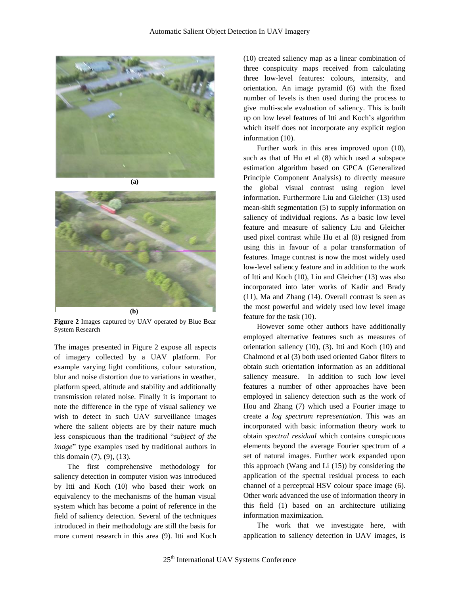



**Figure 2** Images captured by UAV operated by Blue Bear System Research

The images presented in Figure 2 expose all aspects of imagery collected by a UAV platform. For example varying light conditions, colour saturation, blur and noise distortion due to variations in weather, platform speed, altitude and stability and additionally transmission related noise. Finally it is important to note the difference in the type of visual saliency we wish to detect in such UAV surveillance images where the salient objects are by their nature much less conspicuous than the traditional "*subject of the image*" type examples used by traditional authors in this domain (7), (9), (13).

The first comprehensive methodology for saliency detection in computer vision was introduced by Itti and Koch (10) who based their work on equivalency to the mechanisms of the human visual system which has become a point of reference in the field of saliency detection. Several of the techniques introduced in their methodology are still the basis for more current research in this area (9). Itti and Koch (10) created saliency map as a linear combination of three conspicuity maps received from calculating three low-level features: colours, intensity, and orientation. An image pyramid (6) with the fixed number of levels is then used during the process to give multi-scale evaluation of saliency. This is built up on low level features of Itti and Koch's algorithm which itself does not incorporate any explicit region information (10).

Further work in this area improved upon (10), such as that of Hu et al (8) which used a subspace estimation algorithm based on GPCA (Generalized Principle Component Analysis) to directly measure the global visual contrast using region level information. Furthermore Liu and Gleicher (13) used mean-shift segmentation (5) to supply information on saliency of individual regions. As a basic low level feature and measure of saliency Liu and Gleicher used pixel contrast while Hu et al (8) resigned from using this in favour of a polar transformation of features. Image contrast is now the most widely used low-level saliency feature and in addition to the work of Itti and Koch (10), Liu and Gleicher (13) was also incorporated into later works of Kadir and Brady (11), Ma and Zhang (14). Overall contrast is seen as the most powerful and widely used low level image feature for the task (10).

However some other authors have additionally employed alternative features such as measures of orientation saliency (10), (3). Itti and Koch (10) and Chalmond et al (3) both used oriented Gabor filters to obtain such orientation information as an additional saliency measure. In addition to such low level features a number of other approaches have been employed in saliency detection such as the work of Hou and Zhang (7) which used a Fourier image to create a *log spectrum representation.* This was an incorporated with basic information theory work to obtain *spectral residual* which contains conspicuous elements beyond the average Fourier spectrum of a set of natural images. Further work expanded upon this approach (Wang and Li (15)) by considering the application of the spectral residual process to each channel of a perceptual HSV colour space image (6). Other work advanced the use of information theory in this field (1) based on an architecture utilizing information maximization.

The work that we investigate here, with application to saliency detection in UAV images, is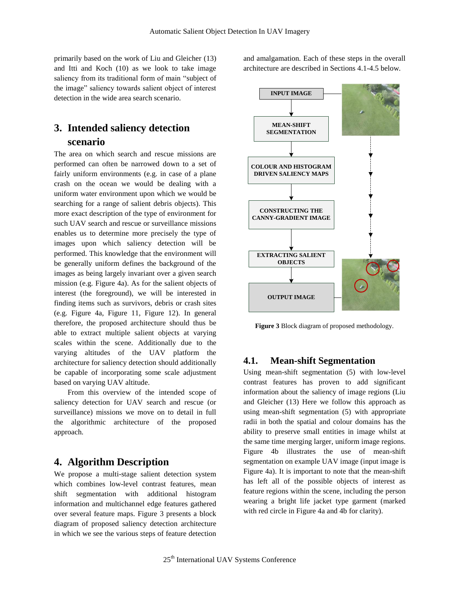primarily based on the work of Liu and Gleicher (13) and Itti and Koch (10) as we look to take image saliency from its traditional form of main "subject of the image" saliency towards salient object of interest detection in the wide area search scenario.

## **3. Intended saliency detection scenario**

The area on which search and rescue missions are performed can often be narrowed down to a set of fairly uniform environments (e.g. in case of a plane crash on the ocean we would be dealing with a uniform water environment upon which we would be searching for a range of salient debris objects). This more exact description of the type of environment for such UAV search and rescue or surveillance missions enables us to determine more precisely the type of images upon which saliency detection will be performed. This knowledge that the environment will be generally uniform defines the background of the images as being largely invariant over a given search mission (e.g. Figure 4a). As for the salient objects of interest (the foreground), we will be interested in finding items such as survivors, debris or crash sites (e.g. Figure 4a, Figure 11, Figure 12). In general therefore, the proposed architecture should thus be able to extract multiple salient objects at varying scales within the scene. Additionally due to the varying altitudes of the UAV platform the architecture for saliency detection should additionally be capable of incorporating some scale adjustment based on varying UAV altitude.

From this overview of the intended scope of saliency detection for UAV search and rescue (or surveillance) missions we move on to detail in full the algorithmic architecture of the proposed approach.

#### **4. Algorithm Description**

We propose a multi-stage salient detection system which combines low-level contrast features, mean shift segmentation with additional histogram information and multichannel edge features gathered over several feature maps. Figure 3 presents a block diagram of proposed saliency detection architecture in which we see the various steps of feature detection and amalgamation. Each of these steps in the overall architecture are described in Sections 4.1-4.5 below.



**Figure 3** Block diagram of proposed methodology.

#### **4.1. Mean-shift Segmentation**

Using mean-shift segmentation (5) with low-level contrast features has proven to add significant information about the saliency of image regions (Liu and Gleicher (13) Here we follow this approach as using mean-shift segmentation (5) with appropriate radii in both the spatial and colour domains has the ability to preserve small entities in image whilst at the same time merging larger, uniform image regions. Figure 4b illustrates the use of mean-shift segmentation on example UAV image (input image is Figure 4a). It is important to note that the mean-shift has left all of the possible objects of interest as feature regions within the scene, including the person wearing a bright life jacket type garment (marked with red circle in Figure 4a and 4b for clarity).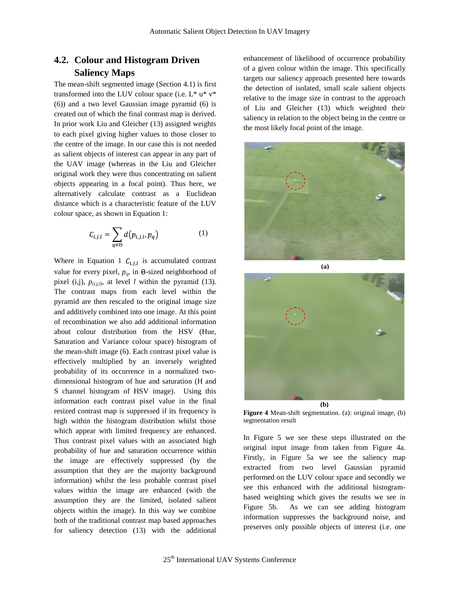## **4.2. Colour and Histogram Driven Saliency Maps**

The mean-shift segmented image (Section 4.1) is first transformed into the LUV colour space (i.e.  $L^*$  u\*  $v^*$ (6)) and a two level Gaussian image pyramid (6) is created out of which the final contrast map is derived. In prior work Liu and Gleicher (13) assigned weights to each pixel giving higher values to those closer to the centre of the image. In our case this is not needed as salient objects of interest can appear in any part of the UAV image (whereas in the Liu and Gleicher original work they were thus concentrating on salient objects appearing in a focal point). Thus here, we alternatively calculate contrast as a Euclidean distance which is a characteristic feature of the LUV colour space, as shown in Equation 1:

$$
C_{i,j,l} = \sum_{q \in \Theta} d(p_{i,j,l}, p_q)
$$
 (1)

Where in Equation 1  $C_{i,j,l}$  is accumulated contrast value for every pixel,  $p_q$ , in  $\Theta$ -sized neighborhood of pixel (i,j),  $p_{(i,i)}$ , at level *l* within the pyramid (13). The contrast maps from each level within the pyramid are then rescaled to the original image size and additively combined into one image. At this point of recombination we also add additional information about colour distribution from the HSV (Hue, Saturation and Variance colour space) histogram of the mean-shift image (6). Each contrast pixel value is effectively multiplied by an inversely weighted probability of its occurrence in a normalized twodimensional histogram of hue and saturation (H and S channel histogram of HSV image). Using this information each contrast pixel value in the final resized contrast map is suppressed if its frequency is high within the histogram distribution whilst those which appear with limited frequency are enhanced. Thus contrast pixel values with an associated high probability of hue and saturation occurrence within the image are effectively suppressed (by the assumption that they are the majority background information) whilst the less probable contrast pixel values within the image are enhanced (with the assumption they are the limited, isolated salient objects within the image). In this way we combine both of the traditional contrast map based approaches for saliency detection (13) with the additional

enhancement of likelihood of occurrence probability of a given colour within the image. This specifically targets our saliency approach presented here towards the detection of isolated, small scale salient objects relative to the image size in contrast to the approach of Liu and Gleicher (13) which weighted their saliency in relation to the object being in the centre or the most likely focal point of the image.





**Figure 4** Mean-shift segmentation. (a): original image, (b) segmentation result

In Figure 5 we see these steps illustrated on the original input image from taken from Figure 4a. Firstly, in Figure 5a we see the saliency map extracted from two level Gaussian pyramid performed on the LUV colour space and secondly we see this enhanced with the additional histogrambased weighting which gives the results we see in Figure 5b. As we can see adding histogram information suppresses the background noise, and preserves only possible objects of interest (i.e. one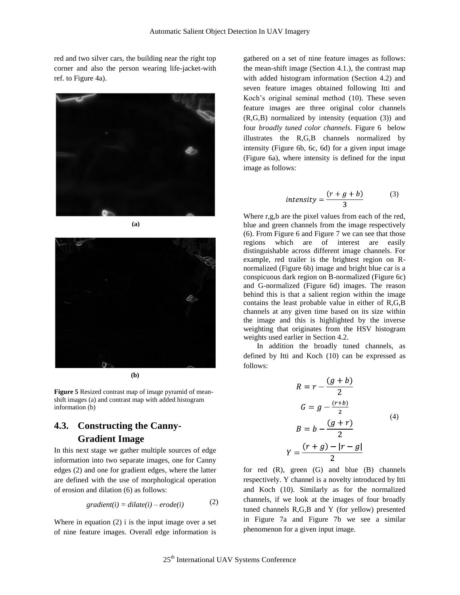red and two silver cars, the building near the right top corner and also the person wearing life-jacket-with ref. to Figure 4a).



**(a)**



**(b)**

**Figure 5** Resized contrast map of image pyramid of meanshift images (a) and contrast map with added histogram information (b)

## **4.3. Constructing the Canny-Gradient Image**

In this next stage we gather multiple sources of edge information into two separate images, one for Canny edges (2) and one for gradient edges, where the latter are defined with the use of morphological operation of erosion and dilation (6) as follows:

$$
gradient(i) = dilate(i) - erode(i)
$$
 (2)

Where in equation  $(2)$  i is the input image over a set of nine feature images. Overall edge information is gathered on a set of nine feature images as follows: the mean-shift image (Section 4.1.), the contrast map with added histogram information (Section 4.2) and seven feature images obtained following Itti and Koch's original seminal method (10). These seven feature images are three original color channels (R,G,B) normalized by intensity (equation (3)) and four *broadly tuned color channels.* Figure 6 below illustrates the R,G,B channels normalized by intensity (Figure 6b, 6c, 6d) for a given input image (Figure 6a), where intensity is defined for the input image as follows:

$$
intensity = \frac{(r+g+b)}{3}
$$
 (3)

Where r,g,b are the pixel values from each of the red, blue and green channels from the image respectively (6). From Figure 6 and Figure 7 we can see that those regions which are of interest are easily distinguishable across different image channels. For example, red trailer is the brightest region on Rnormalized (Figure 6b) image and bright blue car is a conspicuous dark region on B-normalized (Figure 6c) and G-normalized (Figure 6d) images. The reason behind this is that a salient region within the image contains the least probable value in either of R,G,B channels at any given time based on its size within the image and this is highlighted by the inverse weighting that originates from the HSV histogram weights used earlier in Section 4.2.

In addition the broadly tuned channels, as defined by Itti and Koch (10) can be expressed as follows:

$$
R = r - \frac{(g+b)}{2}
$$
  
\n
$$
G = g - \frac{(r+b)}{2}
$$
  
\n
$$
B = b - \frac{(g+r)}{2}
$$
  
\n
$$
Y = \frac{(r+g) - |r-g|}{2}
$$
 (4)

for red  $(R)$ , green  $(G)$  and blue  $(B)$  channels respectively. Y channel is a novelty introduced by Itti and Koch (10). Similarly as for the normalized channels, if we look at the images of four broadly tuned channels R,G,B and Y (for yellow) presented in Figure 7a and Figure 7b we see a similar phenomenon for a given input image.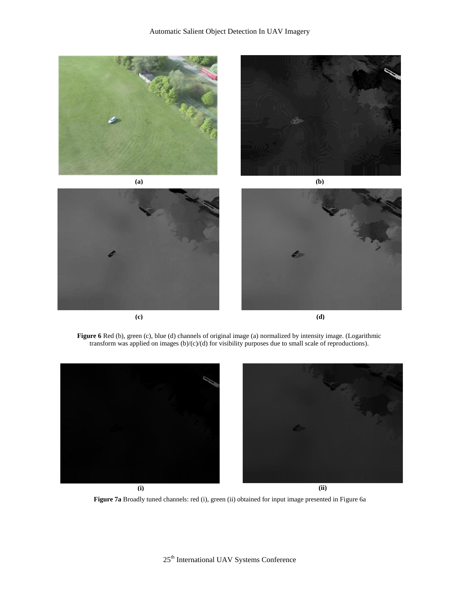

**Figure 6** Red (b), green (c), blue (d) channels of original image (a) normalized by intensity image. (Logarithmic transform was applied on images (b)/(c)/(d) for visibility purposes due to small scale of reproductions).



**Figure 7a** Broadly tuned channels: red (i), green (ii) obtained for input image presented in Figure 6a

25th International UAV Systems Conference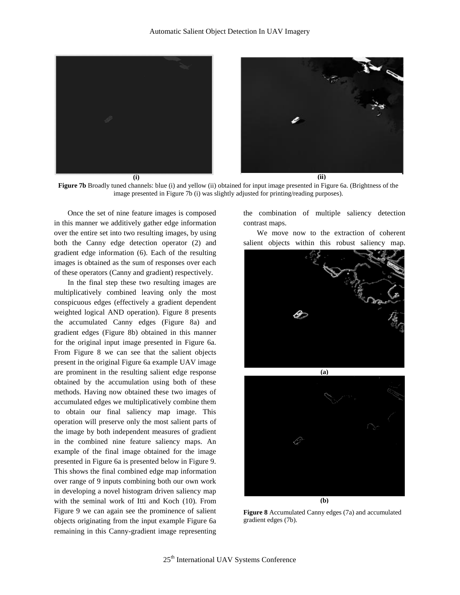

**Figure 7b** Broadly tuned channels: blue (i) and yellow (ii) obtained for input image presented in Figure 6a. (Brightness of the image presented in Figure 7b (i) was slightly adjusted for printing/reading purposes).

Once the set of nine feature images is composed in this manner we additively gather edge information over the entire set into two resulting images, by using both the Canny edge detection operator (2) and gradient edge information (6). Each of the resulting images is obtained as the sum of responses over each of these operators (Canny and gradient) respectively.

In the final step these two resulting images are multiplicatively combined leaving only the most conspicuous edges (effectively a gradient dependent weighted logical AND operation). Figure 8 presents the accumulated Canny edges (Figure 8a) and gradient edges (Figure 8b) obtained in this manner for the original input image presented in Figure 6a. From Figure 8 we can see that the salient objects present in the original Figure 6a example UAV image are prominent in the resulting salient edge response obtained by the accumulation using both of these methods. Having now obtained these two images of accumulated edges we multiplicatively combine them to obtain our final saliency map image. This operation will preserve only the most salient parts of the image by both independent measures of gradient in the combined nine feature saliency maps. An example of the final image obtained for the image presented in Figure 6a is presented below in Figure 9. This shows the final combined edge map information over range of 9 inputs combining both our own work in developing a novel histogram driven saliency map with the seminal work of Itti and Koch (10). From Figure 9 we can again see the prominence of salient objects originating from the input example Figure 6a remaining in this Canny-gradient image representing

the combination of multiple saliency detection contrast maps.

We move now to the extraction of coherent salient objects within this robust saliency map.





**Figure 8** Accumulated Canny edges (7a) and accumulated gradient edges (7b).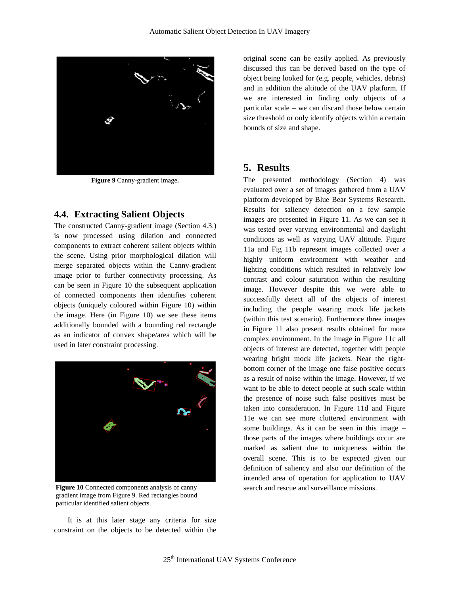

**Figure 9** Canny-gradient image**.**

#### **4.4. Extracting Salient Objects**

The constructed Canny-gradient image (Section 4.3.) is now processed using dilation and connected components to extract coherent salient objects within the scene. Using prior morphological dilation will merge separated objects within the Canny-gradient image prior to further connectivity processing. As can be seen in Figure 10 the subsequent application of connected components then identifies coherent objects (uniquely coloured within Figure 10) within the image. Here (in Figure 10) we see these items additionally bounded with a bounding red rectangle as an indicator of convex shape/area which will be used in later constraint processing.



gradient image from Figure 9. Red rectangles bound particular identified salient objects.

It is at this later stage any criteria for size constraint on the objects to be detected within the

original scene can be easily applied. As previously discussed this can be derived based on the type of object being looked for (e.g. people, vehicles, debris) and in addition the altitude of the UAV platform. If we are interested in finding only objects of a particular scale – we can discard those below certain size threshold or only identify objects within a certain bounds of size and shape.

#### **5. Results**

The presented methodology (Section 4) was evaluated over a set of images gathered from a UAV platform developed by Blue Bear Systems Research. Results for saliency detection on a few sample images are presented in Figure 11. As we can see it was tested over varying environmental and daylight conditions as well as varying UAV altitude. Figure 11a and Fig 11b represent images collected over a highly uniform environment with weather and lighting conditions which resulted in relatively low contrast and colour saturation within the resulting image. However despite this we were able to successfully detect all of the objects of interest including the people wearing mock life jackets (within this test scenario). Furthermore three images in Figure 11 also present results obtained for more complex environment. In the image in Figure 11c all objects of interest are detected, together with people wearing bright mock life jackets. Near the rightbottom corner of the image one false positive occurs as a result of noise within the image. However, if we want to be able to detect people at such scale within the presence of noise such false positives must be taken into consideration. In Figure 11d and Figure 11e we can see more cluttered environment with some buildings. As it can be seen in this image – those parts of the images where buildings occur are marked as salient due to uniqueness within the overall scene. This is to be expected given our definition of saliency and also our definition of the intended area of operation for application to UAV **Figure 10** Connected components analysis of canny search and rescue and surveillance missions.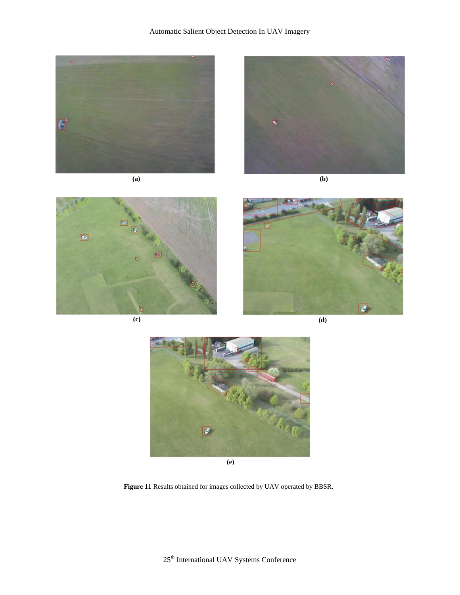









**(c) (d)**



**(e)**

**Figure 11** Results obtained for images collected by UAV operated by BBSR.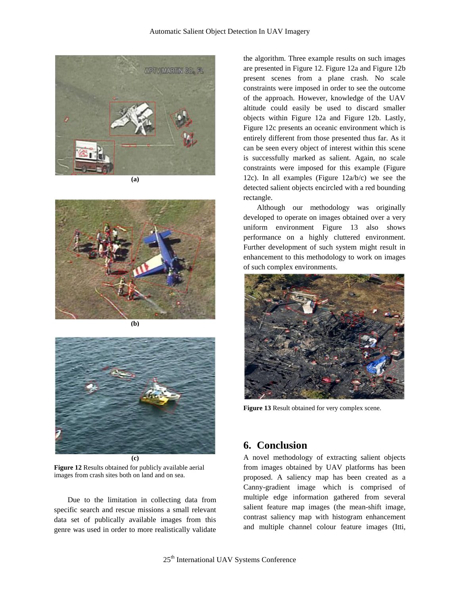

**(a)**



**(b)**



**Figure 12** Results obtained for publicly available aerial images from crash sites both on land and on sea.

Due to the limitation in collecting data from specific search and rescue missions a small relevant data set of publically available images from this genre was used in order to more realistically validate

the algorithm. Three example results on such images are presented in Figure 12. Figure 12a and Figure 12b present scenes from a plane crash. No scale constraints were imposed in order to see the outcome of the approach. However, knowledge of the UAV altitude could easily be used to discard smaller objects within Figure 12a and Figure 12b. Lastly, Figure 12c presents an oceanic environment which is entirely different from those presented thus far. As it can be seen every object of interest within this scene is successfully marked as salient. Again, no scale constraints were imposed for this example (Figure 12c). In all examples (Figure 12a/b/c) we see the detected salient objects encircled with a red bounding rectangle.

Although our methodology was originally developed to operate on images obtained over a very uniform environment Figure 13 also shows performance on a highly cluttered environment. Further development of such system might result in enhancement to this methodology to work on images of such complex environments.



**Figure 13** Result obtained for very complex scene.

## **6. Conclusion**

A novel methodology of extracting salient objects from images obtained by UAV platforms has been proposed. A saliency map has been created as a Canny-gradient image which is comprised of multiple edge information gathered from several salient feature map images (the mean-shift image, contrast saliency map with histogram enhancement and multiple channel colour feature images (Itti,